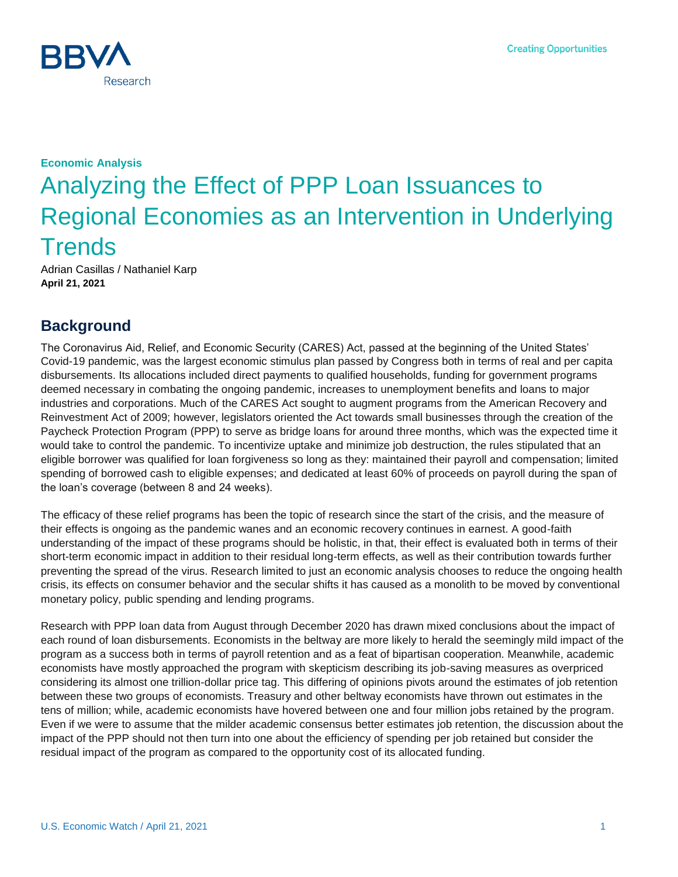

# **Economic Analysis** Analyzing the Effect of PPP Loan Issuances to Regional Economies as an Intervention in Underlying **Trends**

Adrian Casillas / Nathaniel Karp **April 21, 2021**

## **Background**

The Coronavirus Aid, Relief, and Economic Security (CARES) Act, passed at the beginning of the United States' Covid-19 pandemic, was the largest economic stimulus plan passed by Congress both in terms of real and per capita disbursements. Its allocations included direct payments to qualified households, funding for government programs deemed necessary in combating the ongoing pandemic, increases to unemployment benefits and loans to major industries and corporations. Much of the CARES Act sought to augment programs from the American Recovery and Reinvestment Act of 2009; however, legislators oriented the Act towards small businesses through the creation of the Paycheck Protection Program (PPP) to serve as bridge loans for around three months, which was the expected time it would take to control the pandemic. To incentivize uptake and minimize job destruction, the rules stipulated that an eligible borrower was qualified for loan forgiveness so long as they: maintained their payroll and compensation; limited spending of borrowed cash to eligible expenses; and dedicated at least 60% of proceeds on payroll during the span of the loan's coverage (between 8 and 24 weeks).

The efficacy of these relief programs has been the topic of research since the start of the crisis, and the measure of their effects is ongoing as the pandemic wanes and an economic recovery continues in earnest. A good-faith understanding of the impact of these programs should be holistic, in that, their effect is evaluated both in terms of their short-term economic impact in addition to their residual long-term effects, as well as their contribution towards further preventing the spread of the virus. Research limited to just an economic analysis chooses to reduce the ongoing health crisis, its effects on consumer behavior and the secular shifts it has caused as a monolith to be moved by conventional monetary policy, public spending and lending programs.

Research with PPP loan data from August through December 2020 has drawn mixed conclusions about the impact of each round of loan disbursements. Economists in the beltway are more likely to herald the seemingly mild impact of the program as a success both in terms of payroll retention and as a feat of bipartisan cooperation. Meanwhile, academic economists have mostly approached the program with skepticism describing its job-saving measures as overpriced considering its almost one trillion-dollar price tag. This differing of opinions pivots around the estimates of job retention between these two groups of economists. Treasury and other beltway economists have thrown out estimates in the tens of million; while, academic economists have hovered between one and four million jobs retained by the program. Even if we were to assume that the milder academic consensus better estimates job retention, the discussion about the impact of the PPP should not then turn into one about the efficiency of spending per job retained but consider the residual impact of the program as compared to the opportunity cost of its allocated funding.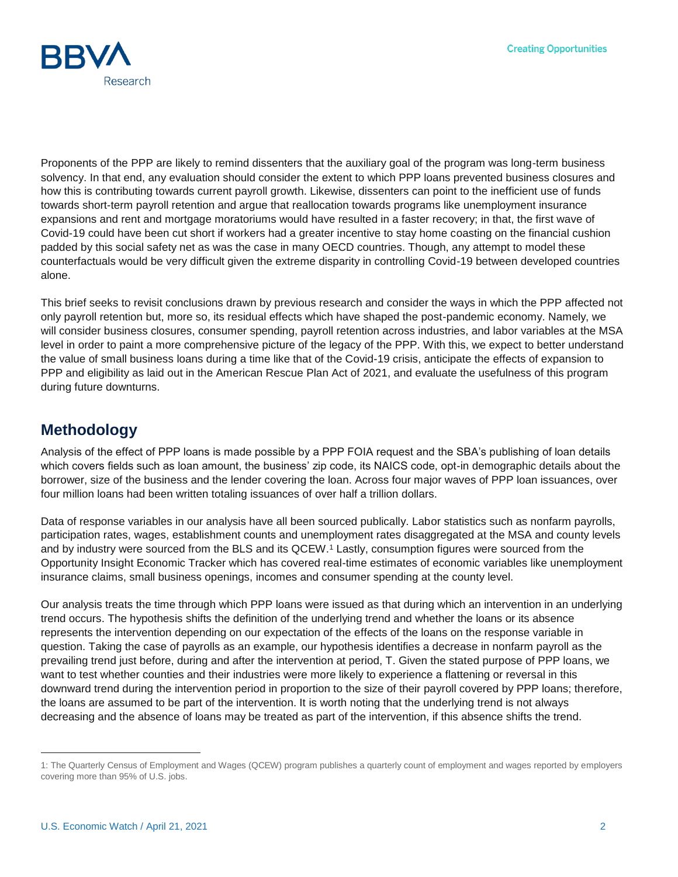

Proponents of the PPP are likely to remind dissenters that the auxiliary goal of the program was long-term business solvency. In that end, any evaluation should consider the extent to which PPP loans prevented business closures and how this is contributing towards current payroll growth. Likewise, dissenters can point to the inefficient use of funds towards short-term payroll retention and argue that reallocation towards programs like unemployment insurance expansions and rent and mortgage moratoriums would have resulted in a faster recovery; in that, the first wave of Covid-19 could have been cut short if workers had a greater incentive to stay home coasting on the financial cushion padded by this social safety net as was the case in many OECD countries. Though, any attempt to model these counterfactuals would be very difficult given the extreme disparity in controlling Covid-19 between developed countries alone.

This brief seeks to revisit conclusions drawn by previous research and consider the ways in which the PPP affected not only payroll retention but, more so, its residual effects which have shaped the post-pandemic economy. Namely, we will consider business closures, consumer spending, payroll retention across industries, and labor variables at the MSA level in order to paint a more comprehensive picture of the legacy of the PPP. With this, we expect to better understand the value of small business loans during a time like that of the Covid-19 crisis, anticipate the effects of expansion to PPP and eligibility as laid out in the American Rescue Plan Act of 2021, and evaluate the usefulness of this program during future downturns.

#### **Methodology**

Analysis of the effect of PPP loans is made possible by a PPP FOIA request and the SBA's publishing of loan details which covers fields such as loan amount, the business' zip code, its NAICS code, opt-in demographic details about the borrower, size of the business and the lender covering the loan. Across four major waves of PPP loan issuances, over four million loans had been written totaling issuances of over half a trillion dollars.

Data of response variables in our analysis have all been sourced publically. Labor statistics such as nonfarm payrolls, participation rates, wages, establishment counts and unemployment rates disaggregated at the MSA and county levels and by industry were sourced from the BLS and its QCEW.<sup>1</sup> Lastly, consumption figures were sourced from the Opportunity Insight Economic Tracker which has covered real-time estimates of economic variables like unemployment insurance claims, small business openings, incomes and consumer spending at the county level.

Our analysis treats the time through which PPP loans were issued as that during which an intervention in an underlying trend occurs. The hypothesis shifts the definition of the underlying trend and whether the loans or its absence represents the intervention depending on our expectation of the effects of the loans on the response variable in question. Taking the case of payrolls as an example, our hypothesis identifies a decrease in nonfarm payroll as the prevailing trend just before, during and after the intervention at period, T. Given the stated purpose of PPP loans, we want to test whether counties and their industries were more likely to experience a flattening or reversal in this downward trend during the intervention period in proportion to the size of their payroll covered by PPP loans; therefore, the loans are assumed to be part of the intervention. It is worth noting that the underlying trend is not always decreasing and the absence of loans may be treated as part of the intervention, if this absence shifts the trend.

l

<sup>1:</sup> The Quarterly Census of Employment and Wages (QCEW) program publishes a quarterly count of employment and wages reported by employers covering more than 95% of U.S. jobs.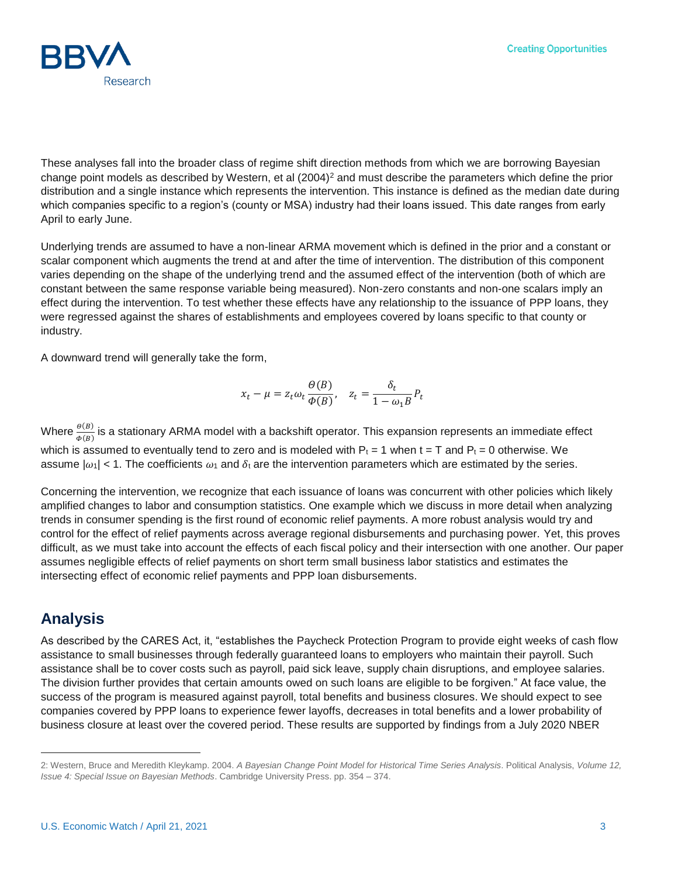

These analyses fall into the broader class of regime shift direction methods from which we are borrowing Bayesian change point models as described by Western, et al  $(2004)^2$  and must describe the parameters which define the prior distribution and a single instance which represents the intervention. This instance is defined as the median date during which companies specific to a region's (county or MSA) industry had their loans issued. This date ranges from early April to early June.

Underlying trends are assumed to have a non-linear ARMA movement which is defined in the prior and a constant or scalar component which augments the trend at and after the time of intervention. The distribution of this component varies depending on the shape of the underlying trend and the assumed effect of the intervention (both of which are constant between the same response variable being measured). Non-zero constants and non-one scalars imply an effect during the intervention. To test whether these effects have any relationship to the issuance of PPP loans, they were regressed against the shares of establishments and employees covered by loans specific to that county or industry.

A downward trend will generally take the form,

$$
x_t - \mu = z_t \omega_t \frac{\Theta(B)}{\Phi(B)}, \quad z_t = \frac{\delta_t}{1 - \omega_1 B} P_t
$$

Where  $\frac{\theta(B)}{\Phi(B)}$  is a stationary ARMA model with a backshift operator. This expansion represents an immediate effect which is assumed to eventually tend to zero and is modeled with  $P_t = 1$  when  $t = T$  and  $P_t = 0$  otherwise. We assume  $|\omega_1|$  < 1. The coefficients  $\omega_1$  and  $\delta_t$  are the intervention parameters which are estimated by the series.

Concerning the intervention, we recognize that each issuance of loans was concurrent with other policies which likely amplified changes to labor and consumption statistics. One example which we discuss in more detail when analyzing trends in consumer spending is the first round of economic relief payments. A more robust analysis would try and control for the effect of relief payments across average regional disbursements and purchasing power. Yet, this proves difficult, as we must take into account the effects of each fiscal policy and their intersection with one another. Our paper assumes negligible effects of relief payments on short term small business labor statistics and estimates the intersecting effect of economic relief payments and PPP loan disbursements.

### **Analysis**

l

As described by the CARES Act, it, "establishes the Paycheck Protection Program to provide eight weeks of cash flow assistance to small businesses through federally guaranteed loans to employers who maintain their payroll. Such assistance shall be to cover costs such as payroll, paid sick leave, supply chain disruptions, and employee salaries. The division further provides that certain amounts owed on such loans are eligible to be forgiven." At face value, the success of the program is measured against payroll, total benefits and business closures. We should expect to see companies covered by PPP loans to experience fewer layoffs, decreases in total benefits and a lower probability of business closure at least over the covered period. These results are supported by findings from a July 2020 NBER

<sup>2:</sup> Western, Bruce and Meredith Kleykamp. 2004. *A Bayesian Change Point Model for Historical Time Series Analysis*. Political Analysis, *Volume 12, Issue 4: Special Issue on Bayesian Methods*. Cambridge University Press. pp. 354 – 374.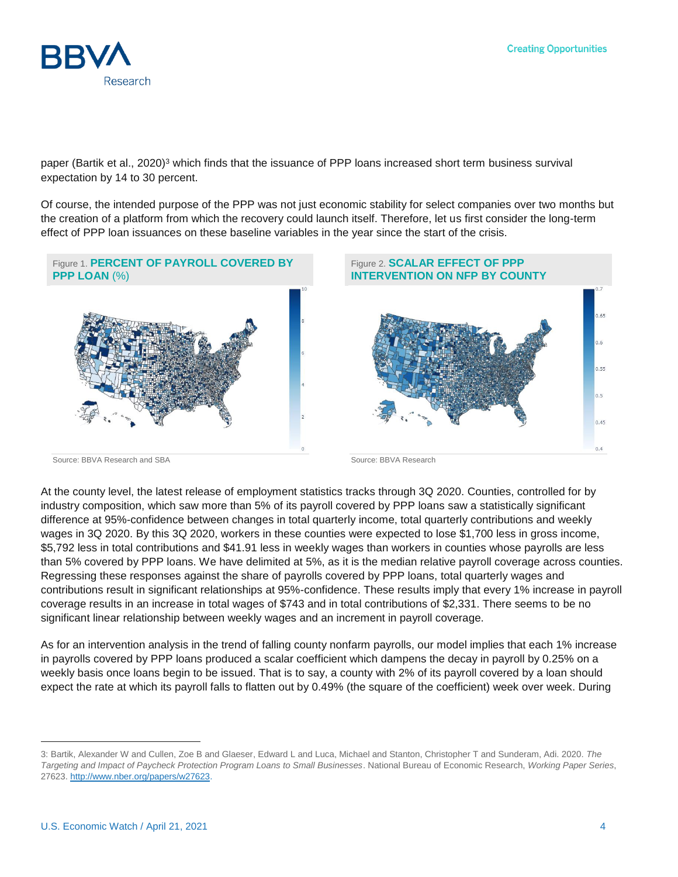

paper (Bartik et al., 2020)<sup>3</sup> which finds that the issuance of PPP loans increased short term business survival expectation by 14 to 30 percent.

Of course, the intended purpose of the PPP was not just economic stability for select companies over two months but the creation of a platform from which the recovery could launch itself. Therefore, let us first consider the long-term effect of PPP loan issuances on these baseline variables in the year since the start of the crisis.



At the county level, the latest release of employment statistics tracks through 3Q 2020. Counties, controlled for by industry composition, which saw more than 5% of its payroll covered by PPP loans saw a statistically significant difference at 95%-confidence between changes in total quarterly income, total quarterly contributions and weekly wages in 3Q 2020. By this 3Q 2020, workers in these counties were expected to lose \$1,700 less in gross income, \$5,792 less in total contributions and \$41.91 less in weekly wages than workers in counties whose payrolls are less than 5% covered by PPP loans. We have delimited at 5%, as it is the median relative payroll coverage across counties. Regressing these responses against the share of payrolls covered by PPP loans, total quarterly wages and contributions result in significant relationships at 95%-confidence. These results imply that every 1% increase in payroll coverage results in an increase in total wages of \$743 and in total contributions of \$2,331. There seems to be no significant linear relationship between weekly wages and an increment in payroll coverage.

As for an intervention analysis in the trend of falling county nonfarm payrolls, our model implies that each 1% increase in payrolls covered by PPP loans produced a scalar coefficient which dampens the decay in payroll by 0.25% on a weekly basis once loans begin to be issued. That is to say, a county with 2% of its payroll covered by a loan should expect the rate at which its payroll falls to flatten out by 0.49% (the square of the coefficient) week over week. During

l

<sup>3:</sup> Bartik, Alexander W and Cullen, Zoe B and Glaeser, Edward L and Luca, Michael and Stanton, Christopher T and Sunderam, Adi. 2020. *The Targeting and Impact of Paycheck Protection Program Loans to Small Businesses*. National Bureau of Economic Research, *Working Paper Series*, 27623[. http://www.nber.org/papers/w27623.](http://www.nber.org/papers/w27623)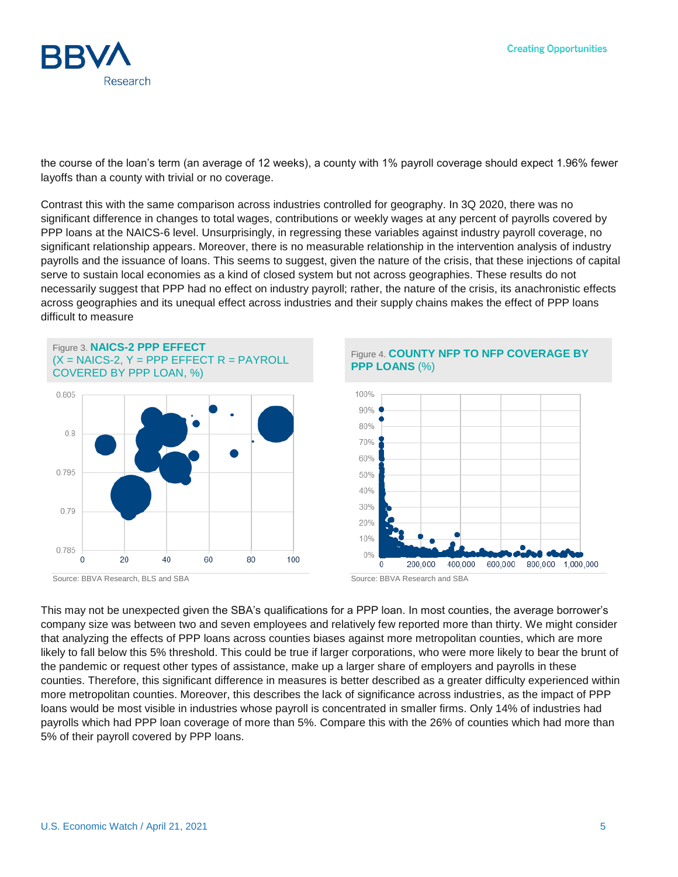

the course of the loan's term (an average of 12 weeks), a county with 1% payroll coverage should expect 1.96% fewer layoffs than a county with trivial or no coverage.

Contrast this with the same comparison across industries controlled for geography. In 3Q 2020, there was no significant difference in changes to total wages, contributions or weekly wages at any percent of payrolls covered by PPP loans at the NAICS-6 level. Unsurprisingly, in regressing these variables against industry payroll coverage, no significant relationship appears. Moreover, there is no measurable relationship in the intervention analysis of industry payrolls and the issuance of loans. This seems to suggest, given the nature of the crisis, that these injections of capital serve to sustain local economies as a kind of closed system but not across geographies. These results do not necessarily suggest that PPP had no effect on industry payroll; rather, the nature of the crisis, its anachronistic effects across geographies and its unequal effect across industries and their supply chains makes the effect of PPP loans difficult to measure



Source: BBVA Research, BLS and SBA Source: BBVA Research and SBA

Figure 4. **COUNTY NFP TO NFP COVERAGE BY PPP LOANS** (%)



This may not be unexpected given the SBA's qualifications for a PPP loan. In most counties, the average borrower's company size was between two and seven employees and relatively few reported more than thirty. We might consider that analyzing the effects of PPP loans across counties biases against more metropolitan counties, which are more likely to fall below this 5% threshold. This could be true if larger corporations, who were more likely to bear the brunt of the pandemic or request other types of assistance, make up a larger share of employers and payrolls in these counties. Therefore, this significant difference in measures is better described as a greater difficulty experienced within more metropolitan counties. Moreover, this describes the lack of significance across industries, as the impact of PPP loans would be most visible in industries whose payroll is concentrated in smaller firms. Only 14% of industries had payrolls which had PPP loan coverage of more than 5%. Compare this with the 26% of counties which had more than 5% of their payroll covered by PPP loans.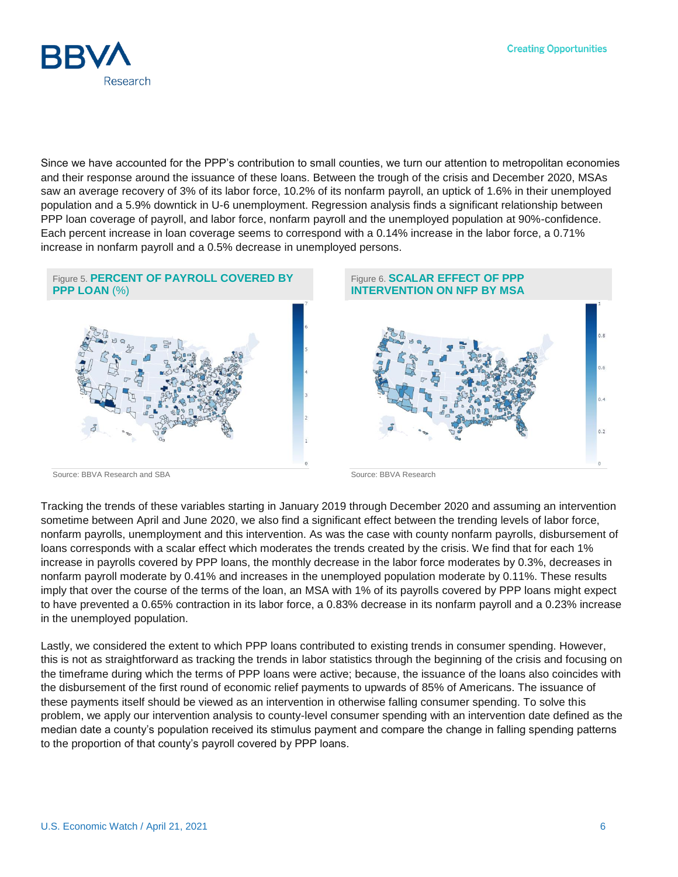

Since we have accounted for the PPP's contribution to small counties, we turn our attention to metropolitan economies and their response around the issuance of these loans. Between the trough of the crisis and December 2020, MSAs saw an average recovery of 3% of its labor force, 10.2% of its nonfarm payroll, an uptick of 1.6% in their unemployed population and a 5.9% downtick in U-6 unemployment. Regression analysis finds a significant relationship between PPP loan coverage of payroll, and labor force, nonfarm payroll and the unemployed population at 90%-confidence. Each percent increase in loan coverage seems to correspond with a 0.14% increase in the labor force, a 0.71% increase in nonfarm payroll and a 0.5% decrease in unemployed persons.



Source: BBVA Research and SBA Source: BBVA Research

Tracking the trends of these variables starting in January 2019 through December 2020 and assuming an intervention sometime between April and June 2020, we also find a significant effect between the trending levels of labor force, nonfarm payrolls, unemployment and this intervention. As was the case with county nonfarm payrolls, disbursement of loans corresponds with a scalar effect which moderates the trends created by the crisis. We find that for each 1% increase in payrolls covered by PPP loans, the monthly decrease in the labor force moderates by 0.3%, decreases in nonfarm payroll moderate by 0.41% and increases in the unemployed population moderate by 0.11%. These results imply that over the course of the terms of the loan, an MSA with 1% of its payrolls covered by PPP loans might expect to have prevented a 0.65% contraction in its labor force, a 0.83% decrease in its nonfarm payroll and a 0.23% increase in the unemployed population.

Lastly, we considered the extent to which PPP loans contributed to existing trends in consumer spending. However, this is not as straightforward as tracking the trends in labor statistics through the beginning of the crisis and focusing on the timeframe during which the terms of PPP loans were active; because, the issuance of the loans also coincides with the disbursement of the first round of economic relief payments to upwards of 85% of Americans. The issuance of these payments itself should be viewed as an intervention in otherwise falling consumer spending. To solve this problem, we apply our intervention analysis to county-level consumer spending with an intervention date defined as the median date a county's population received its stimulus payment and compare the change in falling spending patterns to the proportion of that county's payroll covered by PPP loans.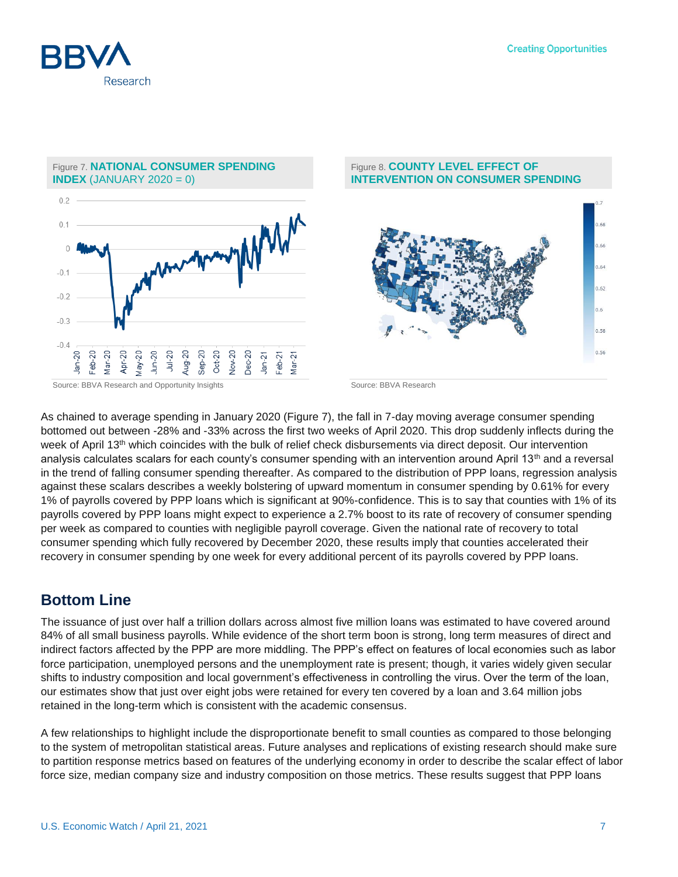



#### Figure 8. **COUNTY LEVEL EFFECT OF INTERVENTION ON CONSUMER SPENDING**



As chained to average spending in January 2020 (Figure 7), the fall in 7-day moving average consumer spending bottomed out between -28% and -33% across the first two weeks of April 2020. This drop suddenly inflects during the week of April 13<sup>th</sup> which coincides with the bulk of relief check disbursements via direct deposit. Our intervention analysis calculates scalars for each county's consumer spending with an intervention around April 13th and a reversal in the trend of falling consumer spending thereafter. As compared to the distribution of PPP loans, regression analysis against these scalars describes a weekly bolstering of upward momentum in consumer spending by 0.61% for every 1% of payrolls covered by PPP loans which is significant at 90%-confidence. This is to say that counties with 1% of its payrolls covered by PPP loans might expect to experience a 2.7% boost to its rate of recovery of consumer spending per week as compared to counties with negligible payroll coverage. Given the national rate of recovery to total consumer spending which fully recovered by December 2020, these results imply that counties accelerated their recovery in consumer spending by one week for every additional percent of its payrolls covered by PPP loans.

### **Bottom Line**

The issuance of just over half a trillion dollars across almost five million loans was estimated to have covered around 84% of all small business payrolls. While evidence of the short term boon is strong, long term measures of direct and indirect factors affected by the PPP are more middling. The PPP's effect on features of local economies such as labor force participation, unemployed persons and the unemployment rate is present; though, it varies widely given secular shifts to industry composition and local government's effectiveness in controlling the virus. Over the term of the loan, our estimates show that just over eight jobs were retained for every ten covered by a loan and 3.64 million jobs retained in the long-term which is consistent with the academic consensus.

A few relationships to highlight include the disproportionate benefit to small counties as compared to those belonging to the system of metropolitan statistical areas. Future analyses and replications of existing research should make sure to partition response metrics based on features of the underlying economy in order to describe the scalar effect of labor force size, median company size and industry composition on those metrics. These results suggest that PPP loans